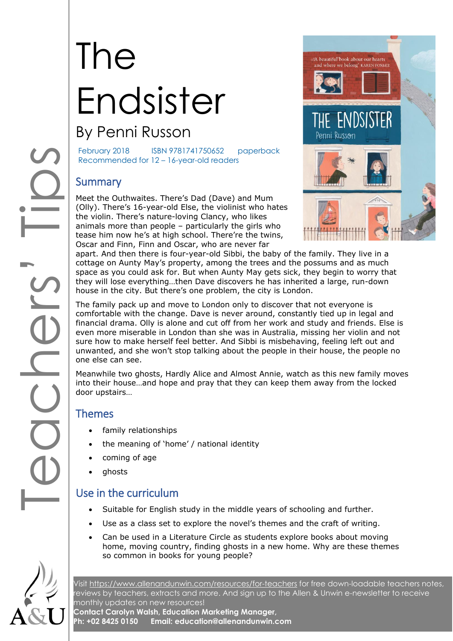# The Endsister

# By Penni Russon

February 2018 ISBN 9781741750652 paperback Recommended for 12 - 16-year-old readers

# **Summary**

Meet the Outhwaites. There's Dad (Dave) and Mum (Olly). There's 16 -year -old Else, the violinist who hates the violin. There's nature -loving Clancy, who likes animals more than people – particularly the girls who tease him now he's at high school. There're the twins, Oscar and Finn, Finn and Oscar, who are never far



apart. And then there is four-year-old Sibbi, the baby of the family. They live in a cottage on Aunty May's property, among the trees and the possums and as much space as you could ask for. But when Aunty May gets sick, they begin to worry that they will lose everything…then Dave discovers he has inherited a large, run -down house in the city. But there's one problem, the city is London.

COODSIFIES The family pack up and move to London only to discover that not everyone is comfortable with the change. Dave is never around, constantly tied up in legal and financial drama. Olly is alone and cut off from her work and study and friends. Else is even more miserable in London than she was in Australia, missing her violin and not sure how to make herself feel better. And Sibbi is misbehaving, feeling left out and unwanted, and she won't stop talking about the people in their house, the people no one else can see.

Meanwhile two ghosts, Hardly Alice and Almost Annie, watch as this new family moves into their house…and hope and pray that they can keep them away from the locked door upstairs…

# Themes

- family relationships
- the meaning of 'home' / national identity
- coming of age
- ghosts

# Use in the curriculum

- Suitable for English study in the middle years of schooling and further .
- Use as a class set to explore the novel's themes and the craft of writing.
- Can be used in a Literature Circle as students explore books about moving home, moving country, finding ghosts in a new home. Why are these themes so common in books for young people?



Visit [https://www.allenandunwin.com/resources/for](https://www.allenandunwin.com/resources/for-teachers)-teachers for free down-loadable teachers notes, reviews by teachers, extracts and more. And sign up to the Allen & Unwin e -newsletter to receive monthly updates on new resources!

**Contact Carolyn Walsh, Education Marketing Manager, Ph: +02 8425 0150 Email: education@allenandunwin.com**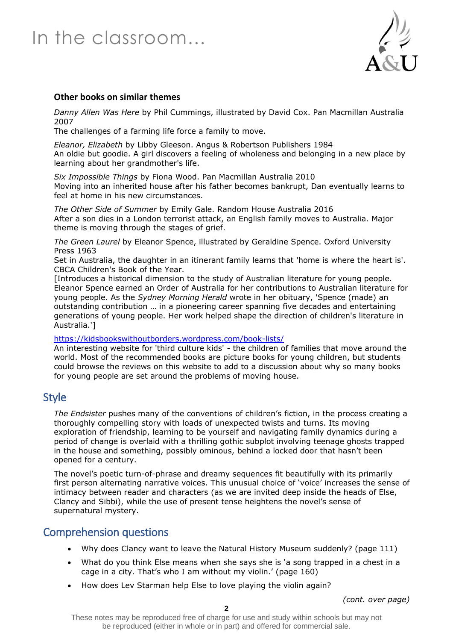# In the classroom…



#### **Other books on similar themes**

*Danny Allen Was Here* by Phil Cummings, illustrated by David Cox. Pan Macmillan Australia 2007

The challenges of a farming life force a family to move.

*Eleanor, Elizabeth* by Libby Gleeson. Angus & Robertson Publishers 1984 An oldie but goodie. A girl discovers a feeling of wholeness and belonging in a new place by learning about her grandmother's life.

*Six Impossible Things* by Fiona Wood. Pan Macmillan Australia 2010 Moving into an inherited house after his father becomes bankrupt, Dan eventually learns to feel at home in his new circumstances.

*The Other Side of Summer* by Emily Gale. Random House Australia 2016 After a son dies in a London terrorist attack, an English family moves to Australia. Major theme is moving through the stages of grief.

*The Green Laurel* by Eleanor Spence, illustrated by Geraldine Spence. Oxford University Press 1963

Set in Australia, the daughter in an itinerant family learns that 'home is where the heart is'. CBCA Children's Book of the Year.

[Introduces a historical dimension to the study of Australian literature for young people. Eleanor Spence earned an Order of Australia for her contributions to Australian literature for young people. As the *Sydney Morning Herald* wrote in her obituary, 'Spence (made) an outstanding contribution … in a pioneering career spanning five decades and entertaining generations of young people. Her work helped shape the direction of children's literature in Australia.']

<https://kidsbookswithoutborders.wordpress.com/book-lists/>

An interesting website for 'third culture kids' - the children of families that move around the world. Most of the recommended books are picture books for young children, but students could browse the reviews on this website to add to a discussion about why so many books for young people are set around the problems of moving house.

# Style

*The Endsister* pushes many of the conventions of children's fiction, in the process creating a thoroughly compelling story with loads of unexpected twists and turns. Its moving exploration of friendship, learning to be yourself and navigating family dynamics during a period of change is overlaid with a thrilling gothic subplot involving teenage ghosts trapped in the house and something, possibly ominous, behind a locked door that hasn't been opened for a century.

The novel's poetic turn-of-phrase and dreamy sequences fit beautifully with its primarily first person alternating narrative voices. This unusual choice of 'voice' increases the sense of intimacy between reader and characters (as we are invited deep inside the heads of Else, Clancy and Sibbi), while the use of present tense heightens the novel's sense of supernatural mystery.

# Comprehension questions

- Why does Clancy want to leave the Natural History Museum suddenly? (page 111)
- What do you think Else means when she says she is 'a song trapped in a chest in a cage in a city. That's who I am without my violin.' (page 160)
- How does Lev Starman help Else to love playing the violin again?

*(cont. over page)*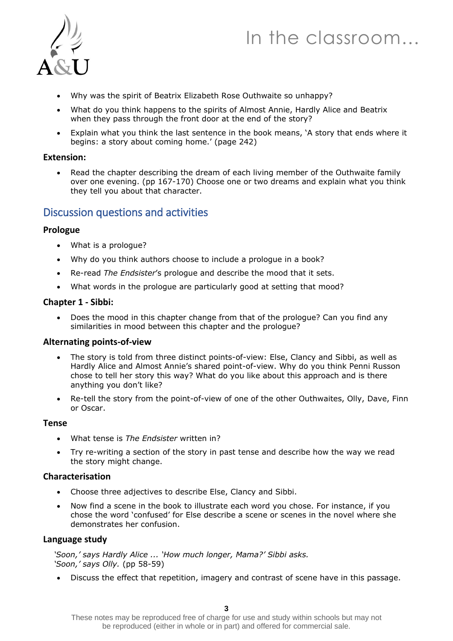# In the classroom…



- Why was the spirit of Beatrix Elizabeth Rose Outhwaite so unhappy?
- What do you think happens to the spirits of Almost Annie, Hardly Alice and Beatrix when they pass through the front door at the end of the story?
- Explain what you think the last sentence in the book means, 'A story that ends where it begins: a story about coming home.' (page 242)

#### **Extension:**

• Read the chapter describing the dream of each living member of the Outhwaite family over one evening. (pp 167-170) Choose one or two dreams and explain what you think they tell you about that character.

# Discussion questions and activities

#### **Prologue**

- What is a prologue?
- Why do you think authors choose to include a prologue in a book?
- Re-read *The Endsister*'s prologue and describe the mood that it sets.
- What words in the prologue are particularly good at setting that mood?

#### **Chapter 1 - Sibbi:**

• Does the mood in this chapter change from that of the prologue? Can you find any similarities in mood between this chapter and the prologue?

#### **Alternating points-of-view**

- The story is told from three distinct points-of-view: Else, Clancy and Sibbi, as well as Hardly Alice and Almost Annie's shared point-of-view. Why do you think Penni Russon chose to tell her story this way? What do you like about this approach and is there anything you don't like?
- Re-tell the story from the point-of-view of one of the other Outhwaites, Olly, Dave, Finn or Oscar.

### **Tense**

- What tense is *The Endsister* written in?
- Try re-writing a section of the story in past tense and describe how the way we read the story might change.

### **Characterisation**

- Choose three adjectives to describe Else, Clancy and Sibbi.
- Now find a scene in the book to illustrate each word you chose. For instance, if you chose the word 'confused' for Else describe a scene or scenes in the novel where she demonstrates her confusion.

#### **Language study**

*'Soon,' says Hardly Alice ... 'How much longer, Mama?' Sibbi asks. 'Soon,' says Olly.* (pp 58-59)

• Discuss the effect that repetition, imagery and contrast of scene have in this passage.